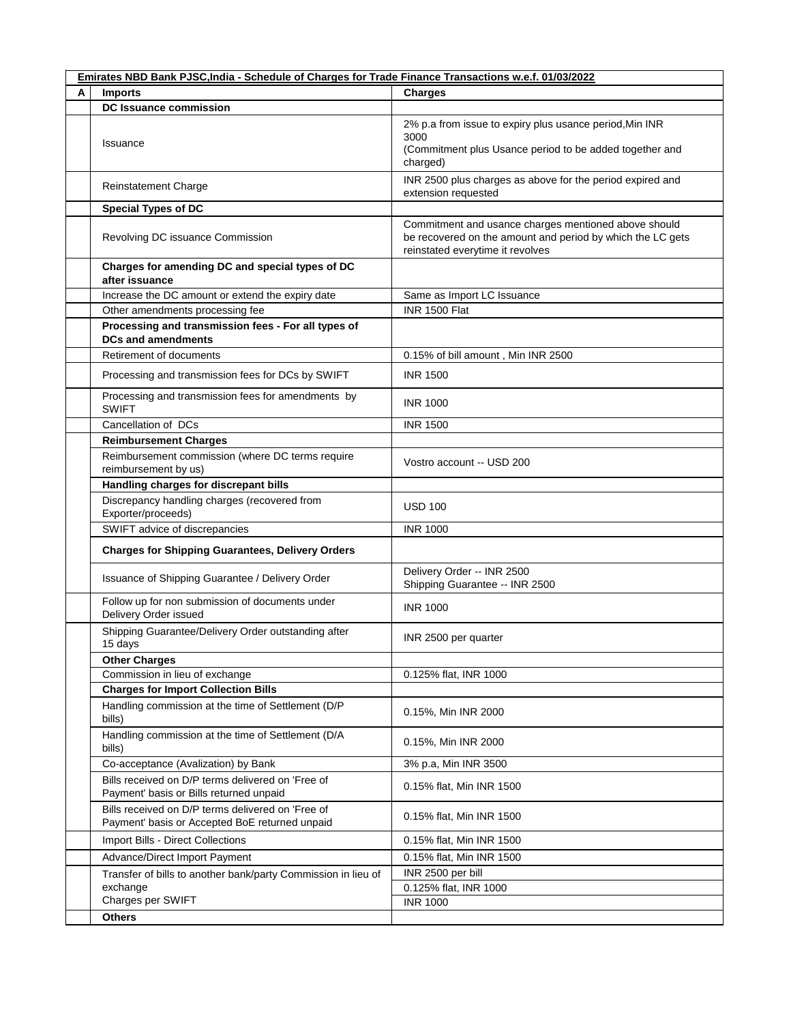|   | Emirates NBD Bank PJSC, India - Schedule of Charges for Trade Finance Transactions w.e.f. 01/03/2022 |                                                                                                                                                        |  |  |
|---|------------------------------------------------------------------------------------------------------|--------------------------------------------------------------------------------------------------------------------------------------------------------|--|--|
| А | <b>Imports</b>                                                                                       | <b>Charges</b>                                                                                                                                         |  |  |
|   | <b>DC Issuance commission</b>                                                                        |                                                                                                                                                        |  |  |
|   | Issuance                                                                                             | 2% p.a from issue to expiry plus usance period, Min INR<br>3000<br>(Commitment plus Usance period to be added together and<br>charged)                 |  |  |
|   | Reinstatement Charge                                                                                 | INR 2500 plus charges as above for the period expired and<br>extension requested                                                                       |  |  |
|   | <b>Special Types of DC</b>                                                                           |                                                                                                                                                        |  |  |
|   | Revolving DC issuance Commission                                                                     | Commitment and usance charges mentioned above should<br>be recovered on the amount and period by which the LC gets<br>reinstated everytime it revolves |  |  |
|   | Charges for amending DC and special types of DC<br>after issuance                                    |                                                                                                                                                        |  |  |
|   | Increase the DC amount or extend the expiry date                                                     | Same as Import LC Issuance                                                                                                                             |  |  |
|   | Other amendments processing fee                                                                      | <b>INR 1500 Flat</b>                                                                                                                                   |  |  |
|   | Processing and transmission fees - For all types of<br><b>DCs and amendments</b>                     |                                                                                                                                                        |  |  |
|   | Retirement of documents                                                                              | 0.15% of bill amount, Min INR 2500                                                                                                                     |  |  |
|   | Processing and transmission fees for DCs by SWIFT                                                    | <b>INR 1500</b>                                                                                                                                        |  |  |
|   | Processing and transmission fees for amendments by<br><b>SWIFT</b>                                   | <b>INR 1000</b>                                                                                                                                        |  |  |
|   | Cancellation of DCs                                                                                  | <b>INR 1500</b>                                                                                                                                        |  |  |
|   | <b>Reimbursement Charges</b>                                                                         |                                                                                                                                                        |  |  |
|   | Reimbursement commission (where DC terms require<br>reimbursement by us)                             | Vostro account -- USD 200                                                                                                                              |  |  |
|   | Handling charges for discrepant bills                                                                |                                                                                                                                                        |  |  |
|   | Discrepancy handling charges (recovered from<br>Exporter/proceeds)                                   | <b>USD 100</b>                                                                                                                                         |  |  |
|   | SWIFT advice of discrepancies                                                                        | <b>INR 1000</b>                                                                                                                                        |  |  |
|   | <b>Charges for Shipping Guarantees, Delivery Orders</b>                                              |                                                                                                                                                        |  |  |
|   | Issuance of Shipping Guarantee / Delivery Order                                                      | Delivery Order -- INR 2500<br>Shipping Guarantee -- INR 2500                                                                                           |  |  |
|   | Follow up for non submission of documents under<br>Delivery Order issued                             | <b>INR 1000</b>                                                                                                                                        |  |  |
|   | Shipping Guarantee/Delivery Order outstanding after<br>15 days                                       | INR 2500 per quarter                                                                                                                                   |  |  |
|   | <b>Other Charges</b>                                                                                 |                                                                                                                                                        |  |  |
|   | Commission in lieu of exchange                                                                       | 0.125% flat, INR 1000                                                                                                                                  |  |  |
|   | <b>Charges for Import Collection Bills</b>                                                           |                                                                                                                                                        |  |  |
|   | Handling commission at the time of Settlement (D/P<br>bills)                                         | 0.15%, Min INR 2000                                                                                                                                    |  |  |
|   | Handling commission at the time of Settlement (D/A<br>bills)                                         | 0.15%, Min INR 2000                                                                                                                                    |  |  |
|   | Co-acceptance (Avalization) by Bank                                                                  | 3% p.a. Min INR 3500                                                                                                                                   |  |  |
|   | Bills received on D/P terms delivered on 'Free of<br>Payment' basis or Bills returned unpaid         | 0.15% flat, Min INR 1500                                                                                                                               |  |  |
|   | Bills received on D/P terms delivered on 'Free of<br>Payment' basis or Accepted BoE returned unpaid  | 0.15% flat, Min INR 1500                                                                                                                               |  |  |
|   | Import Bills - Direct Collections                                                                    | 0.15% flat, Min INR 1500                                                                                                                               |  |  |
|   | Advance/Direct Import Payment                                                                        | 0.15% flat, Min INR 1500                                                                                                                               |  |  |
|   |                                                                                                      | INR 2500 per bill                                                                                                                                      |  |  |
|   | Transfer of bills to another bank/party Commission in lieu of<br>exchange                            | 0.125% flat, INR 1000                                                                                                                                  |  |  |
|   | Charges per SWIFT                                                                                    | <b>INR 1000</b>                                                                                                                                        |  |  |
|   | <b>Others</b>                                                                                        |                                                                                                                                                        |  |  |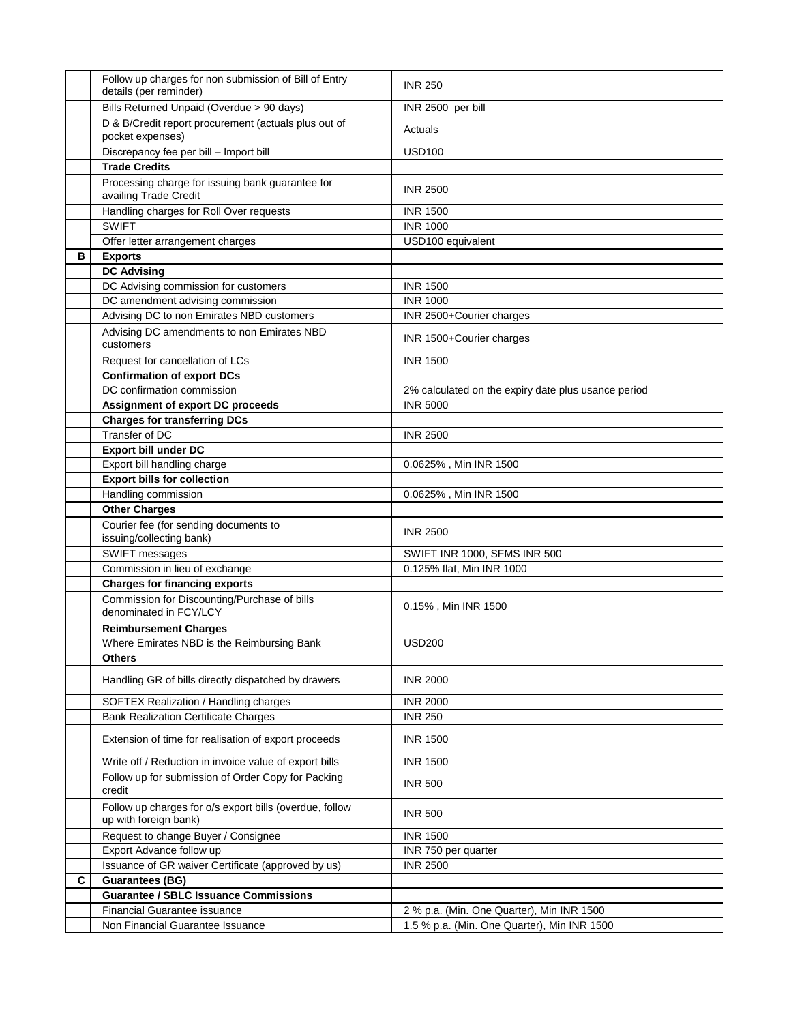|   | Follow up charges for non submission of Bill of Entry                            |                                                     |
|---|----------------------------------------------------------------------------------|-----------------------------------------------------|
|   | details (per reminder)                                                           | <b>INR 250</b>                                      |
|   | Bills Returned Unpaid (Overdue > 90 days)                                        | INR 2500 per bill                                   |
|   |                                                                                  |                                                     |
|   | D & B/Credit report procurement (actuals plus out of<br>pocket expenses)         | Actuals                                             |
|   | Discrepancy fee per bill - Import bill                                           | <b>USD100</b>                                       |
|   | <b>Trade Credits</b>                                                             |                                                     |
|   | Processing charge for issuing bank guarantee for<br>availing Trade Credit        | <b>INR 2500</b>                                     |
|   | Handling charges for Roll Over requests                                          | <b>INR 1500</b>                                     |
|   | <b>SWIFT</b>                                                                     | <b>INR 1000</b>                                     |
|   | Offer letter arrangement charges                                                 | USD100 equivalent                                   |
| в | <b>Exports</b>                                                                   |                                                     |
|   | <b>DC Advising</b>                                                               |                                                     |
|   | DC Advising commission for customers                                             | <b>INR 1500</b>                                     |
|   | DC amendment advising commission                                                 | <b>INR 1000</b>                                     |
|   | Advising DC to non Emirates NBD customers                                        | INR 2500+Courier charges                            |
|   | Advising DC amendments to non Emirates NBD<br>customers                          | INR 1500+Courier charges                            |
|   | Request for cancellation of LCs                                                  | <b>INR 1500</b>                                     |
|   | <b>Confirmation of export DCs</b>                                                |                                                     |
|   | DC confirmation commission                                                       | 2% calculated on the expiry date plus usance period |
|   | <b>Assignment of export DC proceeds</b>                                          | <b>INR 5000</b>                                     |
|   | <b>Charges for transferring DCs</b>                                              |                                                     |
|   | Transfer of DC                                                                   | <b>INR 2500</b>                                     |
|   | <b>Export bill under DC</b>                                                      |                                                     |
|   | Export bill handling charge                                                      | 0.0625%, Min INR 1500                               |
|   | <b>Export bills for collection</b>                                               |                                                     |
|   | Handling commission                                                              | 0.0625%, Min INR 1500                               |
|   | <b>Other Charges</b>                                                             |                                                     |
|   | Courier fee (for sending documents to<br>issuing/collecting bank)                | <b>INR 2500</b>                                     |
|   | SWIFT messages                                                                   | SWIFT INR 1000, SFMS INR 500                        |
|   | Commission in lieu of exchange                                                   | 0.125% flat, Min INR 1000                           |
|   | <b>Charges for financing exports</b>                                             |                                                     |
|   | Commission for Discounting/Purchase of bills<br>denominated in FCY/LCY           | 0.15%, Min INR 1500                                 |
|   | <b>Reimbursement Charges</b>                                                     |                                                     |
|   | Where Emirates NBD is the Reimbursing Bank                                       | <b>USD200</b>                                       |
|   | <b>Others</b>                                                                    |                                                     |
|   | Handling GR of bills directly dispatched by drawers                              | <b>INR 2000</b>                                     |
|   | SOFTEX Realization / Handling charges                                            | <b>INR 2000</b>                                     |
|   | <b>Bank Realization Certificate Charges</b>                                      | <b>INR 250</b>                                      |
|   | Extension of time for realisation of export proceeds                             | <b>INR 1500</b>                                     |
|   | Write off / Reduction in invoice value of export bills                           | <b>INR 1500</b>                                     |
|   | Follow up for submission of Order Copy for Packing<br>credit                     | <b>INR 500</b>                                      |
|   | Follow up charges for o/s export bills (overdue, follow<br>up with foreign bank) | <b>INR 500</b>                                      |
|   | Request to change Buyer / Consignee                                              | <b>INR 1500</b>                                     |
|   | Export Advance follow up                                                         | INR 750 per quarter                                 |
|   | Issuance of GR waiver Certificate (approved by us)                               | <b>INR 2500</b>                                     |
| C | <b>Guarantees (BG)</b>                                                           |                                                     |
|   | <b>Guarantee / SBLC Issuance Commissions</b>                                     |                                                     |
|   | Financial Guarantee issuance                                                     | 2 % p.a. (Min. One Quarter), Min INR 1500           |
|   | Non Financial Guarantee Issuance                                                 | 1.5 % p.a. (Min. One Quarter), Min INR 1500         |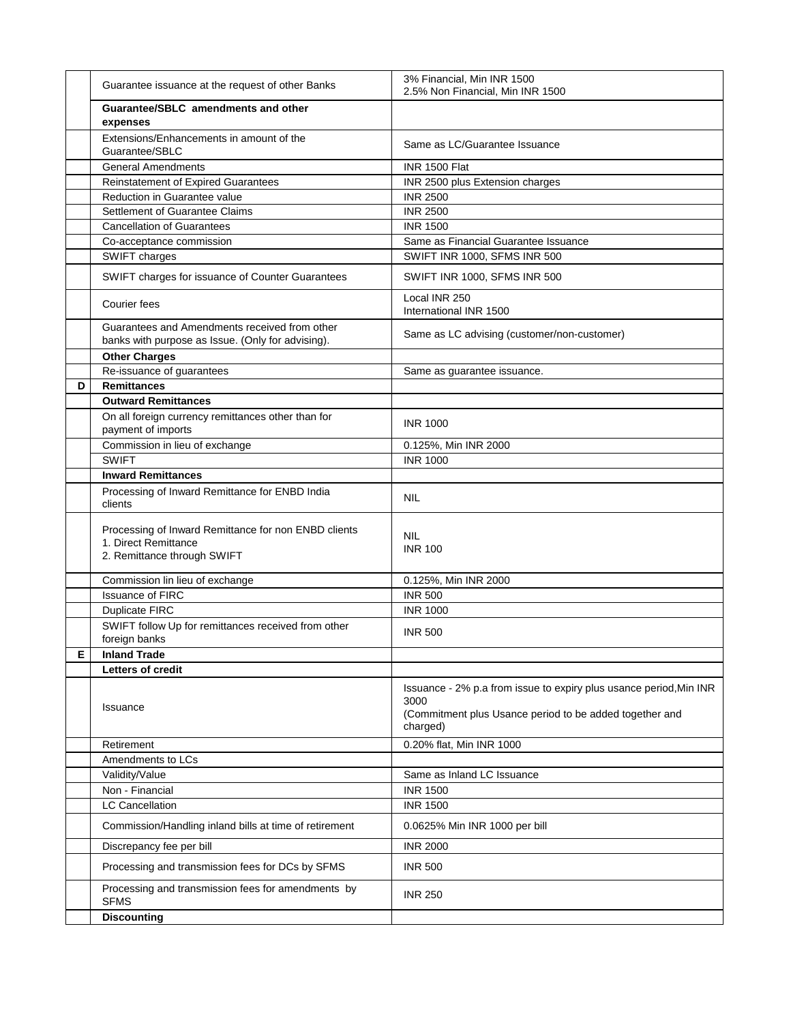|    | Guarantee issuance at the request of other Banks                                                            | 3% Financial, Min INR 1500<br>2.5% Non Financial, Min INR 1500                                                                                    |
|----|-------------------------------------------------------------------------------------------------------------|---------------------------------------------------------------------------------------------------------------------------------------------------|
|    | Guarantee/SBLC amendments and other<br>expenses                                                             |                                                                                                                                                   |
|    | Extensions/Enhancements in amount of the<br>Guarantee/SBLC                                                  | Same as LC/Guarantee Issuance                                                                                                                     |
|    | <b>General Amendments</b>                                                                                   | INR 1500 Flat                                                                                                                                     |
|    | Reinstatement of Expired Guarantees                                                                         | INR 2500 plus Extension charges                                                                                                                   |
|    | Reduction in Guarantee value                                                                                | <b>INR 2500</b>                                                                                                                                   |
|    | Settlement of Guarantee Claims                                                                              | <b>INR 2500</b>                                                                                                                                   |
|    | <b>Cancellation of Guarantees</b>                                                                           | <b>INR 1500</b>                                                                                                                                   |
|    | Co-acceptance commission                                                                                    | Same as Financial Guarantee Issuance                                                                                                              |
|    | SWIFT charges                                                                                               | SWIFT INR 1000, SFMS INR 500                                                                                                                      |
|    | SWIFT charges for issuance of Counter Guarantees                                                            | SWIFT INR 1000, SFMS INR 500                                                                                                                      |
|    | Courier fees                                                                                                | Local INR 250<br>International INR 1500                                                                                                           |
|    | Guarantees and Amendments received from other<br>banks with purpose as Issue. (Only for advising).          | Same as LC advising (customer/non-customer)                                                                                                       |
|    | <b>Other Charges</b>                                                                                        |                                                                                                                                                   |
|    | Re-issuance of guarantees                                                                                   | Same as guarantee issuance.                                                                                                                       |
| D  | <b>Remittances</b>                                                                                          |                                                                                                                                                   |
|    | <b>Outward Remittances</b>                                                                                  |                                                                                                                                                   |
|    | On all foreign currency remittances other than for<br>payment of imports                                    | <b>INR 1000</b>                                                                                                                                   |
|    | Commission in lieu of exchange                                                                              | 0.125%, Min INR 2000                                                                                                                              |
|    | <b>SWIFT</b>                                                                                                | <b>INR 1000</b>                                                                                                                                   |
|    | <b>Inward Remittances</b>                                                                                   |                                                                                                                                                   |
|    | Processing of Inward Remittance for ENBD India<br>clients                                                   | <b>NIL</b>                                                                                                                                        |
|    | Processing of Inward Remittance for non ENBD clients<br>1. Direct Remittance<br>2. Remittance through SWIFT | <b>NIL</b><br><b>INR 100</b>                                                                                                                      |
|    | Commission lin lieu of exchange                                                                             | 0.125%, Min INR 2000                                                                                                                              |
|    | <b>Issuance of FIRC</b>                                                                                     | <b>INR 500</b>                                                                                                                                    |
|    | <b>Duplicate FIRC</b>                                                                                       | <b>INR 1000</b>                                                                                                                                   |
|    | SWIFT follow Up for remittances received from other<br>foreign banks                                        | <b>INR 500</b>                                                                                                                                    |
| E. | <b>Inland Trade</b>                                                                                         |                                                                                                                                                   |
|    | <b>Letters of credit</b>                                                                                    |                                                                                                                                                   |
|    | Issuance                                                                                                    | Issuance - 2% p.a from issue to expiry plus usance period, Min INR<br>3000<br>(Commitment plus Usance period to be added together and<br>charged) |
|    | Retirement                                                                                                  | 0.20% flat, Min INR 1000                                                                                                                          |
|    | Amendments to LCs                                                                                           |                                                                                                                                                   |
|    | Validity/Value                                                                                              | Same as Inland LC Issuance                                                                                                                        |
|    | Non - Financial                                                                                             | <b>INR 1500</b>                                                                                                                                   |
|    | <b>LC Cancellation</b>                                                                                      | <b>INR 1500</b>                                                                                                                                   |
|    | Commission/Handling inland bills at time of retirement                                                      | 0.0625% Min INR 1000 per bill                                                                                                                     |
|    | Discrepancy fee per bill                                                                                    | <b>INR 2000</b>                                                                                                                                   |
|    | Processing and transmission fees for DCs by SFMS                                                            | <b>INR 500</b>                                                                                                                                    |
|    | Processing and transmission fees for amendments by<br><b>SFMS</b>                                           | <b>INR 250</b>                                                                                                                                    |
|    | <b>Discounting</b>                                                                                          |                                                                                                                                                   |